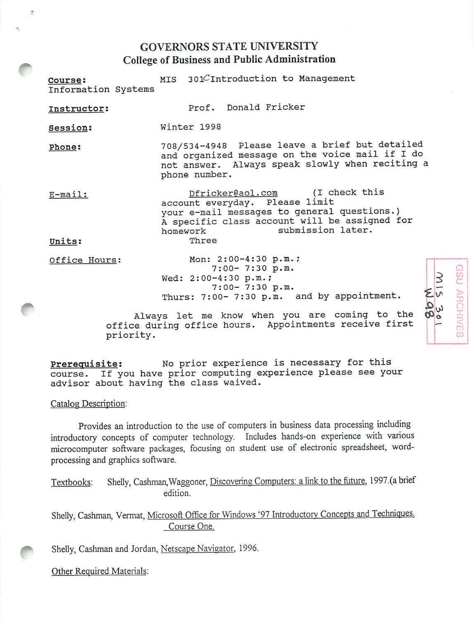## GOVERNORS STATE UNIVERSITY College of Business and Public Administration

| Course:<br>Information Systems |               | MIS 301CIntroduction to Management                                                                                                                                                    |        |
|--------------------------------|---------------|---------------------------------------------------------------------------------------------------------------------------------------------------------------------------------------|--------|
| Instructor:                    |               | Prof. Donald Fricker                                                                                                                                                                  |        |
| Session:                       | Winter 1998   |                                                                                                                                                                                       |        |
| Phone:                         | phone number. | 708/534-4948 Please leave a brief but detailed<br>and organized message on the voice mail if I do<br>not answer. Always speak slowly when reciting a                                  |        |
| E-mail:                        | homework      | Dfricker@aol.com (I check this<br>account everyday. Please limit<br>your e-mail messages to general questions.)<br>A specific class account will be assigned for<br>submission later. |        |
| Units:                         | Three         |                                                                                                                                                                                       |        |
| Office Hours:                  |               | Mon: 2:00-4:30 p.m.;<br>$7:00 - 7:30 p.m.$<br>Wed: 2:00-4:30 p.m.;<br>$7:00 - 7:30 p.m.$<br>Thurs: 7:00- 7:30 p.m. and by appointment.                                                | IV NSE |

Always let me know when you are coming to the office during office hours. Appointments receive first priority.

Thurs: 7:00- 7:30 p.m. and by appointment.

*o X*

*m C/5*

*\*—\**

*1 1*

Prerequisite: No prior experience is necessary for this course. If you have prior computing experience please see your advisor about having the class waived.

Catalog Description:

A

Provides an introduction to the use of computers in business data processing including introductory concepts of computer technology. Includes hands-on experience with various microcomputer software packages, focusing on student use of electronic spreadsheet, wordprocessing and graphics software.

Textbooks: Shelly, Cashman, Waggoner, Discovering Computers: a link to the future, 1997.(a brief edition.

Shelly, Cashman, Vermat, Microsoft Office for Windows '97 Introductory Concepts and Techniques-Course One.

Shelly, Cashman and Jordan, Netscape Navigator, 1996.

Other Required Materials: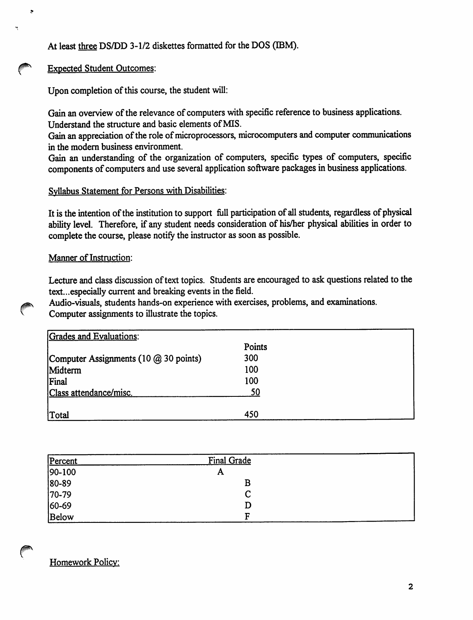*At least three DS/DD 3-1/2 diskettes formatted for the DOS (IBM).*

## *Expected Student Outcomes:*

 $\mathbf{z}$ 

*Upon* completion of this course, the student will:

*Gain anoverviewofthe relevance of computers with specific reference to business applications. Understand the structure and basic elements ofMIS.*

*Gain* an appreciation of the role of microprocessors, microcomputers and computer communications *in the modem business environment.*

*Gain an understanding of the organization of computers, specific types of computers, specific components* of *computers* and use several application software packages in business applications.

## *Syllabus Statement for Persons with Disabilities:*

*It is the intention ofthe institution to support full participation ofall students, regardless of physical ability level. Therefore, if any student needs consideration of his/her physical abilities in order to complete the course, please notifythe instructor as soonas possible.*

## **Manner** of Instruction:

Lecture and class discussion of text topics. Students are encouraged to ask questions related to the *text...especially current and breaking events inthe field.*

*Audio-visuals, students hands-on experience with exercises, problems, and examinations. Computerassignments to illustrate the topics.*

| Grades and Evaluations:               |        |  |
|---------------------------------------|--------|--|
|                                       | Points |  |
| Computer Assignments (10 @ 30 points) | 300    |  |
| Midterm                               | 100    |  |
| Final                                 | 100    |  |
| Class attendance/misc.                | 50     |  |
|                                       |        |  |
| Total                                 | 450    |  |

| Percent | Final Grade |  |
|---------|-------------|--|
| 90-100  | A           |  |
| 80-89   | B           |  |
| $70-79$ |             |  |
| 60-69   | D           |  |
| Below   | F           |  |